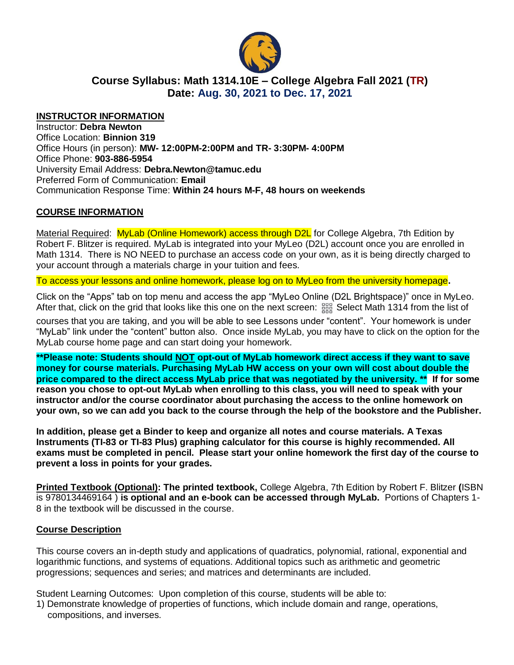

# **Course Syllabus: Math 1314.10E – College Algebra Fall 2021 (TR) Date: Aug. 30, 2021 to Dec. 17, 2021**

#### **INSTRUCTOR INFORMATION**

Instructor: **Debra Newton** Office Location: **Binnion 319** Office Hours (in person): **MW- 12:00PM-2:00PM and TR- 3:30PM- 4:00PM** Office Phone: **903-886-5954** University Email Address: **Debra.Newton@tamuc.edu** Preferred Form of Communication: **Email** Communication Response Time: **Within 24 hours M-F, 48 hours on weekends**

### **COURSE INFORMATION**

Material Required: MyLab (Online Homework) access through D2L for College Algebra, 7th Edition by Robert F. Blitzer is required. MyLab is integrated into your MyLeo (D2L) account once you are enrolled in Math 1314. There is NO NEED to purchase an access code on your own, as it is being directly charged to your account through a materials charge in your tuition and fees.

To access your lessons and online homework, please log on to MyLeo from the university homepage**.**

Click on the "Apps" tab on top menu and access the app "MyLeo Online (D2L Brightspace)" once in MyLeo. After that, click on the grid that looks like this one on the next screen:  $\frac{1299}{1298}$  Select Math 1314 from the list of

courses that you are taking, and you will be able to see Lessons under "content". Your homework is under "MyLab" link under the "content" button also. Once inside MyLab, you may have to click on the option for the MyLab course home page and can start doing your homework.

**\*\*Please note: Students should NOT opt-out of MyLab homework direct access if they want to save money for course materials. Purchasing MyLab HW access on your own will cost about double the price compared to the direct access MyLab price that was negotiated by the university. \*\* If for some reason you chose to opt-out MyLab when enrolling to this class, you will need to speak with your instructor and/or the course coordinator about purchasing the access to the online homework on your own, so we can add you back to the course through the help of the bookstore and the Publisher.**

**In addition, please get a Binder to keep and organize all notes and course materials. A Texas Instruments (TI-83 or TI-83 Plus) graphing calculator for this course is highly recommended. All exams must be completed in pencil. Please start your online homework the first day of the course to prevent a loss in points for your grades.**

**Printed Textbook (Optional): The printed textbook,** College Algebra, 7th Edition by Robert F. Blitzer **(**ISBN is 9780134469164 ) **is optional and an e-book can be accessed through MyLab.** Portions of Chapters 1- 8 in the textbook will be discussed in the course.

#### **Course Description**

This course covers an in-depth study and applications of quadratics, polynomial, rational, exponential and logarithmic functions, and systems of equations. Additional topics such as arithmetic and geometric progressions; sequences and series; and matrices and determinants are included.

Student Learning Outcomes: Upon completion of this course, students will be able to:

1) Demonstrate knowledge of properties of functions, which include domain and range, operations, compositions, and inverses.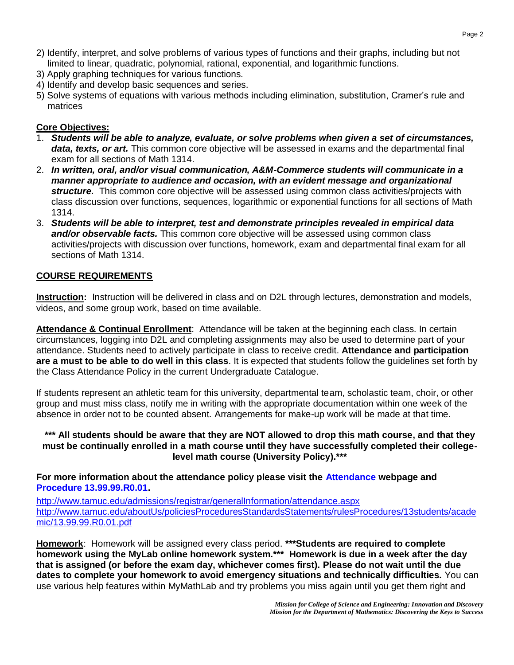- 2) Identify, interpret, and solve problems of various types of functions and their graphs, including but not limited to linear, quadratic, polynomial, rational, exponential, and logarithmic functions.
- 3) Apply graphing techniques for various functions.
- 4) Identify and develop basic sequences and series.
- 5) Solve systems of equations with various methods including elimination, substitution, Cramer's rule and matrices

## **Core Objectives:**

- 1. *Students will be able to analyze, evaluate, or solve problems when given a set of circumstances, data, texts, or art.* This common core objective will be assessed in exams and the departmental final exam for all sections of Math 1314.
- 2. *In written, oral, and/or visual communication, A&M-Commerce students will communicate in a manner appropriate to audience and occasion, with an evident message and organizational structure.* This common core objective will be assessed using common class activities/projects with class discussion over functions, sequences, logarithmic or exponential functions for all sections of Math 1314.
- 3. *Students will be able to interpret, test and demonstrate principles revealed in empirical data and/or observable facts.* This common core objective will be assessed using common class activities/projects with discussion over functions, homework, exam and departmental final exam for all sections of Math 1314.

### **COURSE REQUIREMENTS**

**Instruction:** Instruction will be delivered in class and on D2L through lectures, demonstration and models, videos, and some group work, based on time available.

**Attendance & Continual Enrollment**: Attendance will be taken at the beginning each class. In certain circumstances, logging into D2L and completing assignments may also be used to determine part of your attendance. Students need to actively participate in class to receive credit. **Attendance and participation are a must to be able to do well in this class**. It is expected that students follow the guidelines set forth by the Class Attendance Policy in the current Undergraduate Catalogue.

If students represent an athletic team for this university, departmental team, scholastic team, choir, or other group and must miss class, notify me in writing with the appropriate documentation within one week of the absence in order not to be counted absent. Arrangements for make-up work will be made at that time.

### **\*\*\* All students should be aware that they are NOT allowed to drop this math course, and that they must be continually enrolled in a math course until they have successfully completed their collegelevel math course (University Policy).\*\*\***

#### **For more information about the attendance policy please visit the [Attendance](http://www.tamuc.edu/admissions/registrar/generalInformation/attendance.aspx) webpage and [Procedure 13.99.99.R0.01.](http://www.tamuc.edu/aboutUs/policiesProceduresStandardsStatements/rulesProcedures/13students/academic/13.99.99.R0.01.pdf)**

<http://www.tamuc.edu/admissions/registrar/generalInformation/attendance.aspx> [http://www.tamuc.edu/aboutUs/policiesProceduresStandardsStatements/rulesProcedures/13students/acade](http://www.tamuc.edu/aboutUs/policiesProceduresStandardsStatements/rulesProcedures/13students/academic/13.99.99.R0.01.pdf) [mic/13.99.99.R0.01.pdf](http://www.tamuc.edu/aboutUs/policiesProceduresStandardsStatements/rulesProcedures/13students/academic/13.99.99.R0.01.pdf)

**Homework**: Homework will be assigned every class period. **\*\*\*Students are required to complete homework using the MyLab online homework system.\*\*\* Homework is due in a week after the day that is assigned (or before the exam day, whichever comes first). Please do not wait until the due dates to complete your homework to avoid emergency situations and technically difficulties.** You can use various help features within MyMathLab and try problems you miss again until you get them right and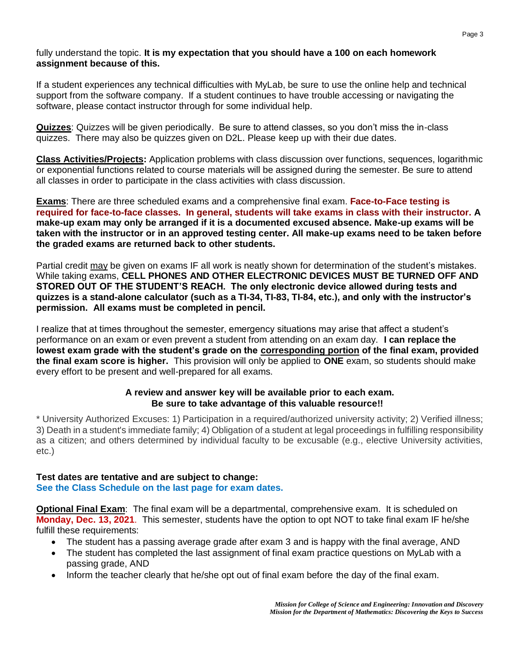fully understand the topic. **It is my expectation that you should have a 100 on each homework assignment because of this.**

If a student experiences any technical difficulties with MyLab, be sure to use the online help and technical support from the software company. If a student continues to have trouble accessing or navigating the software, please contact instructor through for some individual help.

**Quizzes**: Quizzes will be given periodically. Be sure to attend classes, so you don't miss the in-class quizzes. There may also be quizzes given on D2L. Please keep up with their due dates.

**Class Activities/Projects:** Application problems with class discussion over functions, sequences, logarithmic or exponential functions related to course materials will be assigned during the semester. Be sure to attend all classes in order to participate in the class activities with class discussion.

**Exams**: There are three scheduled exams and a comprehensive final exam. **Face-to-Face testing is required for face-to-face classes. In general, students will take exams in class with their instructor. A make-up exam may only be arranged if it is a documented excused absence. Make-up exams will be taken with the instructor or in an approved testing center. All make-up exams need to be taken before the graded exams are returned back to other students.**

Partial credit may be given on exams IF all work is neatly shown for determination of the student's mistakes. While taking exams, **CELL PHONES AND OTHER ELECTRONIC DEVICES MUST BE TURNED OFF AND STORED OUT OF THE STUDENT'S REACH. The only electronic device allowed during tests and quizzes is a stand-alone calculator (such as a TI-34, TI-83, TI-84, etc.), and only with the instructor's permission. All exams must be completed in pencil.**

I realize that at times throughout the semester, emergency situations may arise that affect a student's performance on an exam or even prevent a student from attending on an exam day. **I can replace the lowest exam grade with the student's grade on the corresponding portion of the final exam, provided the final exam score is higher.** This provision will only be applied to **ONE** exam, so students should make every effort to be present and well-prepared for all exams.

### **A review and answer key will be available prior to each exam. Be sure to take advantage of this valuable resource!!**

\* University Authorized Excuses: 1) Participation in a required/authorized university activity; 2) Verified illness; 3) Death in a student's immediate family; 4) Obligation of a student at legal proceedings in fulfilling responsibility as a citizen; and others determined by individual faculty to be excusable (e.g., elective University activities, etc.)

### **Test dates are tentative and are subject to change:**

**See the Class Schedule on the last page for exam dates.**

**Optional Final Exam**: The final exam will be a departmental, comprehensive exam. It is scheduled on **Monday, Dec. 13, 2021**. This semester, students have the option to opt NOT to take final exam IF he/she fulfill these requirements:

- The student has a passing average grade after exam 3 and is happy with the final average, AND
- The student has completed the last assignment of final exam practice questions on MyLab with a passing grade, AND
- Inform the teacher clearly that he/she opt out of final exam before the day of the final exam.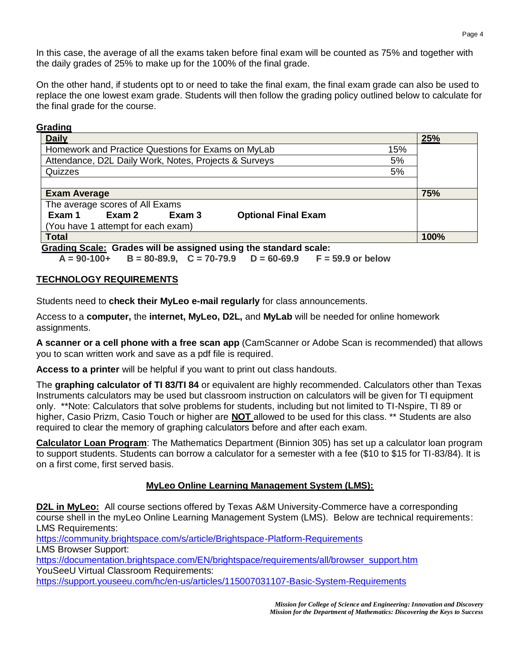In this case, the average of all the exams taken before final exam will be counted as 75% and together with the daily grades of 25% to make up for the 100% of the final grade.

On the other hand, if students opt to or need to take the final exam, the final exam grade can also be used to replace the one lowest exam grade. Students will then follow the grading policy outlined below to calculate for the final grade for the course.

### **Grading**

| <b>Daily</b>                                                        | 25%  |  |  |
|---------------------------------------------------------------------|------|--|--|
| Homework and Practice Questions for Exams on MyLab<br>15%           |      |  |  |
| Attendance, D2L Daily Work, Notes, Projects & Surveys<br>5%         |      |  |  |
| Quizzes<br>5%                                                       |      |  |  |
|                                                                     |      |  |  |
| <b>Exam Average</b>                                                 | 75%  |  |  |
| The average scores of All Exams                                     |      |  |  |
| Exam 2<br><b>Optional Final Exam</b><br>Exam 1<br>Exam <sub>3</sub> |      |  |  |
| (You have 1 attempt for each exam)                                  |      |  |  |
| <b>Total</b>                                                        | 100% |  |  |
| Creding Ceoler, Credes will be seeigned using the standard seeler   |      |  |  |

**Grading Scale: Grades will be assigned using the standard scale:** 

**A = 90-100+ B = 80-89.9, C = 70-79.9 D = 60-69.9 F = 59.9 or below**

### **TECHNOLOGY REQUIREMENTS**

Students need to **check their MyLeo e-mail regularly** for class announcements.

Access to a **computer,** the **internet, MyLeo, D2L,** and **MyLab** will be needed for online homework assignments.

**A scanner or a cell phone with a free scan app** (CamScanner or Adobe Scan is recommended) that allows you to scan written work and save as a pdf file is required.

**Access to a printer** will be helpful if you want to print out class handouts.

The **graphing calculator of TI 83/TI 84** or equivalent are highly recommended. Calculators other than Texas Instruments calculators may be used but classroom instruction on calculators will be given for TI equipment only. \*\*Note: Calculators that solve problems for students, including but not limited to TI-Nspire, TI 89 or higher, Casio Prizm, Casio Touch or higher are **NOT** allowed to be used for this class. \*\* Students are also required to clear the memory of graphing calculators before and after each exam.

**Calculator Loan Program**: The Mathematics Department (Binnion 305) has set up a calculator loan program to support students. Students can borrow a calculator for a semester with a fee (\$10 to \$15 for TI-83/84). It is on a first come, first served basis.

### **MyLeo Online Learning Management System (LMS):**

**D2L in MyLeo:** All course sections offered by Texas A&M University-Commerce have a corresponding course shell in the myLeo Online Learning Management System (LMS). Below are technical requirements: LMS Requirements:

<https://community.brightspace.com/s/article/Brightspace-Platform-Requirements>

LMS Browser Support:

[https://documentation.brightspace.com/EN/brightspace/requirements/all/browser\\_support.htm](https://documentation.brightspace.com/EN/brightspace/requirements/all/browser_support.htm) YouSeeU Virtual Classroom Requirements:

<https://support.youseeu.com/hc/en-us/articles/115007031107-Basic-System-Requirements>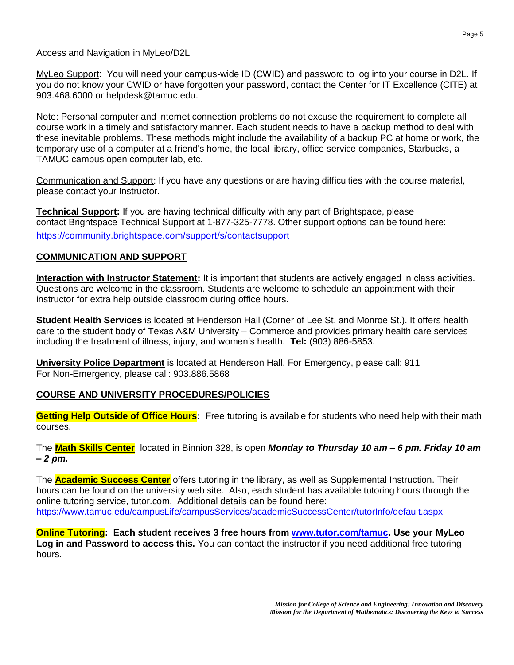Access and Navigation in MyLeo/D2L

MyLeo Support: You will need your campus-wide ID (CWID) and password to log into your course in D2L. If you do not know your CWID or have forgotten your password, contact the Center for IT Excellence (CITE) at 903.468.6000 or [helpdesk@tamuc.edu.](mailto:helpdesk@tamuc.edu)

Note: Personal computer and internet connection problems do not excuse the requirement to complete all course work in a timely and satisfactory manner. Each student needs to have a backup method to deal with these inevitable problems. These methods might include the availability of a backup PC at home or work, the temporary use of a computer at a friend's home, the local library, office service companies, Starbucks, a TAMUC campus open computer lab, etc.

Communication and Support: If you have any questions or are having difficulties with the course material, please contact your Instructor.

**Technical Support:** If you are having technical difficulty with any part of Brightspace, please contact Brightspace Technical Support at 1-877-325-7778. Other support options can be found here: <https://community.brightspace.com/support/s/contactsupport>

## **COMMUNICATION AND SUPPORT**

**Interaction with Instructor Statement:** It is important that students are actively engaged in class activities. Questions are welcome in the classroom. Students are welcome to schedule an appointment with their instructor for extra help outside classroom during office hours.

**Student Health Services** is located at Henderson Hall (Corner of Lee St. and Monroe St.). It offers health care to the student body of Texas A&M University – Commerce and provides primary health care services including the treatment of illness, injury, and women's health. **Tel:** (903) 886-5853.

**University Police Department** is located at Henderson Hall. For Emergency, please call: 911 For Non-Emergency, please call: 903.886.5868

### **COURSE AND UNIVERSITY PROCEDURES/POLICIES**

**Getting Help Outside of Office Hours:** Free tutoring is available for students who need help with their math courses.

The **Math Skills Center**, located in Binnion 328, is open *Monday to Thursday 10 am – 6 pm. Friday 10 am – 2 pm.*

The **Academic Success Center** offers tutoring in the library, as well as Supplemental Instruction. Their hours can be found on the university web site. Also, each student has available tutoring hours through the online tutoring service, tutor.com. Additional details can be found here: <https://www.tamuc.edu/campusLife/campusServices/academicSuccessCenter/tutorInfo/default.aspx>

**Online Tutoring: Each student receives 3 free hours from [www.tutor.com/tamuc.](http://www.tutor.com/tamuc) Use your MyLeo Log in and Password to access this.** You can contact the instructor if you need additional free tutoring hours.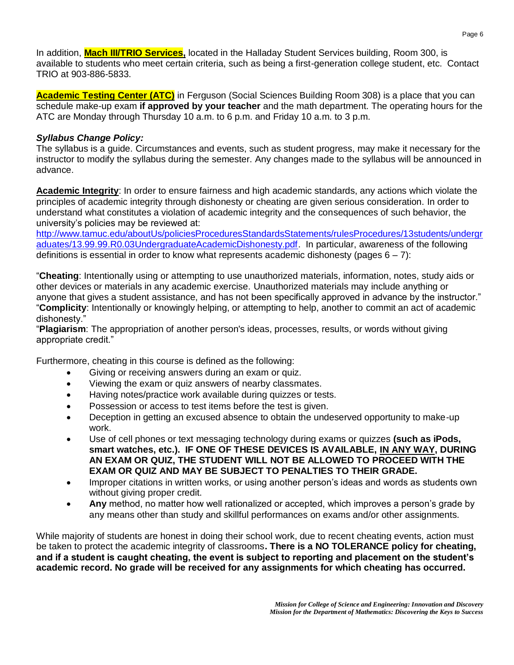In addition, **Mach III/TRIO Services,** located in the Halladay Student Services building, Room 300, is available to students who meet certain criteria, such as being a first-generation college student, etc. Contact TRIO at 903-886-5833.

**Academic Testing Center (ATC)** in Ferguson (Social Sciences Building Room 308) is a place that you can schedule make-up exam **if approved by your teacher** and the math department. The operating hours for the ATC are Monday through Thursday 10 a.m. to 6 p.m. and Friday 10 a.m. to 3 p.m.

### *Syllabus Change Policy:*

The syllabus is a guide. Circumstances and events, such as student progress, may make it necessary for the instructor to modify the syllabus during the semester. Any changes made to the syllabus will be announced in advance.

**Academic Integrity**: In order to ensure fairness and high academic standards, any actions which violate the principles of academic integrity through dishonesty or cheating are given serious consideration. In order to understand what constitutes a violation of academic integrity and the consequences of such behavior, the university's policies may be reviewed at:

[http://www.tamuc.edu/aboutUs/policiesProceduresStandardsStatements/rulesProcedures/13students/undergr](http://www.tamuc.edu/aboutUs/policiesProceduresStandardsStatements/rulesProcedures/13students/undergraduates/13.99.99.R0.03UndergraduateAcademicDishonesty.pdf) [aduates/13.99.99.R0.03UndergraduateAcademicDishonesty.pdf.](http://www.tamuc.edu/aboutUs/policiesProceduresStandardsStatements/rulesProcedures/13students/undergraduates/13.99.99.R0.03UndergraduateAcademicDishonesty.pdf) In particular, awareness of the following definitions is essential in order to know what represents academic dishonesty (pages 6 – 7):

"**Cheating**: Intentionally using or attempting to use unauthorized materials, information, notes, study aids or other devices or materials in any academic exercise. Unauthorized materials may include anything or anyone that gives a student assistance, and has not been specifically approved in advance by the instructor." "**Complicity**: Intentionally or knowingly helping, or attempting to help, another to commit an act of academic dishonesty."

"**Plagiarism**: The appropriation of another person's ideas, processes, results, or words without giving appropriate credit."

Furthermore, cheating in this course is defined as the following:

- Giving or receiving answers during an exam or quiz.
- Viewing the exam or quiz answers of nearby classmates.
- Having notes/practice work available during quizzes or tests.
- Possession or access to test items before the test is given.
- Deception in getting an excused absence to obtain the undeserved opportunity to make-up work.
- Use of cell phones or text messaging technology during exams or quizzes **(such as iPods, smart watches, etc.). IF ONE OF THESE DEVICES IS AVAILABLE, IN ANY WAY, DURING AN EXAM OR QUIZ, THE STUDENT WILL NOT BE ALLOWED TO PROCEED WITH THE EXAM OR QUIZ AND MAY BE SUBJECT TO PENALTIES TO THEIR GRADE.**
- Improper citations in written works, or using another person's ideas and words as students own without giving proper credit.
- **Any** method, no matter how well rationalized or accepted, which improves a person's grade by any means other than study and skillful performances on exams and/or other assignments.

While majority of students are honest in doing their school work, due to recent cheating events, action must be taken to protect the academic integrity of classrooms**. There is a NO TOLERANCE policy for cheating, and if a student is caught cheating, the event is subject to reporting and placement on the student's academic record. No grade will be received for any assignments for which cheating has occurred.**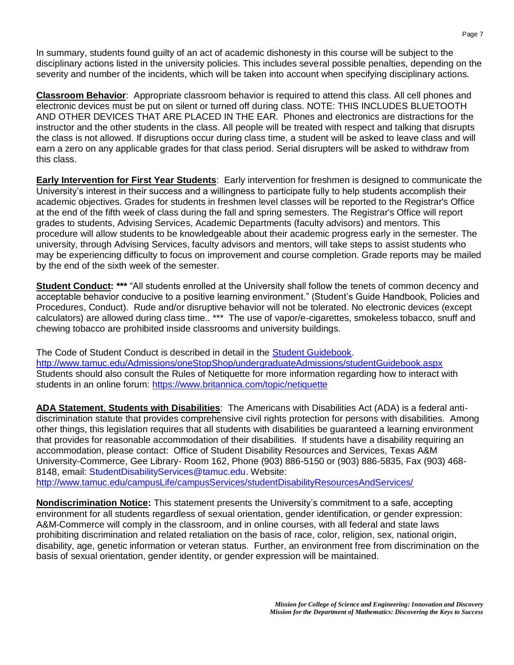In summary, students found guilty of an act of academic dishonesty in this course will be subject to the disciplinary actions listed in the university policies. This includes several possible penalties, depending on the severity and number of the incidents, which will be taken into account when specifying disciplinary actions.

**Classroom Behavior**: Appropriate classroom behavior is required to attend this class. All cell phones and electronic devices must be put on silent or turned off during class. NOTE: THIS INCLUDES BLUETOOTH AND OTHER DEVICES THAT ARE PLACED IN THE EAR. Phones and electronics are distractions for the instructor and the other students in the class. All people will be treated with respect and talking that disrupts the class is not allowed. If disruptions occur during class time, a student will be asked to leave class and will earn a zero on any applicable grades for that class period. Serial disrupters will be asked to withdraw from this class.

**Early Intervention for First Year Students**: Early intervention for freshmen is designed to communicate the University's interest in their success and a willingness to participate fully to help students accomplish their academic objectives. Grades for students in freshmen level classes will be reported to the Registrar's Office at the end of the fifth week of class during the fall and spring semesters. The Registrar's Office will report grades to students, Advising Services, Academic Departments (faculty advisors) and mentors. This procedure will allow students to be knowledgeable about their academic progress early in the semester. The university, through Advising Services, faculty advisors and mentors, will take steps to assist students who may be experiencing difficulty to focus on improvement and course completion. Grade reports may be mailed by the end of the sixth week of the semester.

**Student Conduct:** \*\*\* "All students enrolled at the University shall follow the tenets of common decency and acceptable behavior conducive to a positive learning environment." (Student's Guide Handbook, Policies and Procedures, Conduct). Rude and/or disruptive behavior will not be tolerated. No electronic devices (except calculators) are allowed during class time.. \*\*\* The use of vapor/e-cigarettes, smokeless tobacco, snuff and chewing tobacco are prohibited inside classrooms and university buildings.

The Code of Student Conduct is described in detail in the [Student Guidebook.](http://www.tamuc.edu/Admissions/oneStopShop/undergraduateAdmissions/studentGuidebook.aspx) <http://www.tamuc.edu/Admissions/oneStopShop/undergraduateAdmissions/studentGuidebook.aspx> Students should also consult the Rules of Netiquette for more information regarding how to interact with students in an online forum:<https://www.britannica.com/topic/netiquette>

**ADA Statement**, **Students with Disabilities**: The Americans with Disabilities Act (ADA) is a federal antidiscrimination statute that provides comprehensive civil rights protection for persons with disabilities. Among other things, this legislation requires that all students with disabilities be guaranteed a learning environment that provides for reasonable accommodation of their disabilities. If students have a disability requiring an accommodation, please contact: Office of Student Disability Resources and Services, Texas A&M University-Commerce, Gee Library- Room 162, Phone (903) 886-5150 or (903) 886-5835, Fax (903) 468- 8148, email: [StudentDisabilityServices@tamuc.edu.](mailto:StudentDisabilityServices@tamuc.edu) Website: <http://www.tamuc.edu/campusLife/campusServices/studentDisabilityResourcesAndServices/>

**Nondiscrimination Notice:** This statement presents the University's commitment to a safe, accepting environment for all students regardless of sexual orientation, gender identification, or gender expression: A&M-Commerce will comply in the classroom, and in online courses, with all federal and state laws prohibiting discrimination and related retaliation on the basis of race, color, religion, sex, national origin, disability, age, genetic information or veteran status. Further, an environment free from discrimination on the basis of sexual orientation, gender identity, or gender expression will be maintained.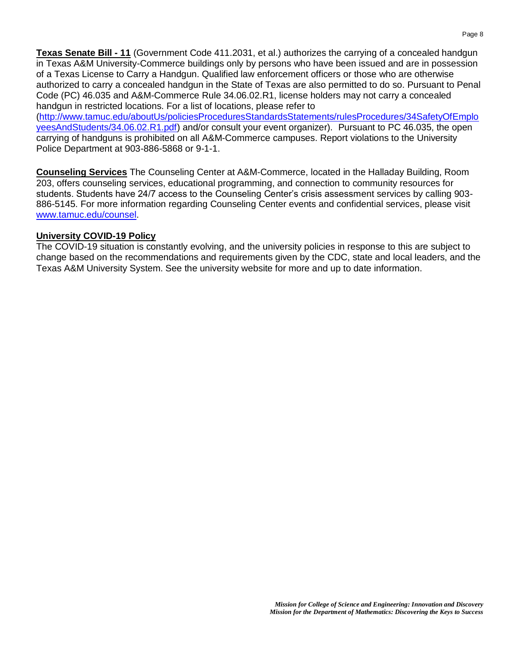**Texas Senate Bill - 11** (Government Code 411.2031, et al.) authorizes the carrying of a concealed handgun in Texas A&M University-Commerce buildings only by persons who have been issued and are in possession of a Texas License to Carry a Handgun. Qualified law enforcement officers or those who are otherwise authorized to carry a concealed handgun in the State of Texas are also permitted to do so. Pursuant to Penal Code (PC) 46.035 and A&M-Commerce Rule 34.06.02.R1, license holders may not carry a concealed handgun in restricted locations. For a list of locations, please refer to [\(http://www.tamuc.edu/aboutUs/policiesProceduresStandardsStatements/rulesProcedures/34SafetyOfEmplo](http://www.tamuc.edu/aboutUs/policiesProceduresStandardsStatements/rulesProcedures/34SafetyOfEmployeesAndStudents/34.06.02.R1.pdf) [yeesAndStudents/34.06.02.R1.pdf\)](http://www.tamuc.edu/aboutUs/policiesProceduresStandardsStatements/rulesProcedures/34SafetyOfEmployeesAndStudents/34.06.02.R1.pdf) and/or consult your event organizer). Pursuant to PC 46.035, the open

carrying of handguns is prohibited on all A&M-Commerce campuses. Report violations to the University Police Department at 903-886-5868 or 9-1-1.

**Counseling Services** The Counseling Center at A&M-Commerce, located in the Halladay Building, Room 203, offers counseling services, educational programming, and connection to community resources for students. Students have 24/7 access to the Counseling Center's crisis assessment services by calling 903- 886-5145. For more information regarding Counseling Center events and confidential services, please visit [www.tamuc.edu/counsel.](http://www.tamuc.edu/counsel)

### **University COVID-19 Policy**

The COVID-19 situation is constantly evolving, and the university policies in response to this are subject to change based on the recommendations and requirements given by the CDC, state and local leaders, and the Texas A&M University System. See the university website for more and up to date information.